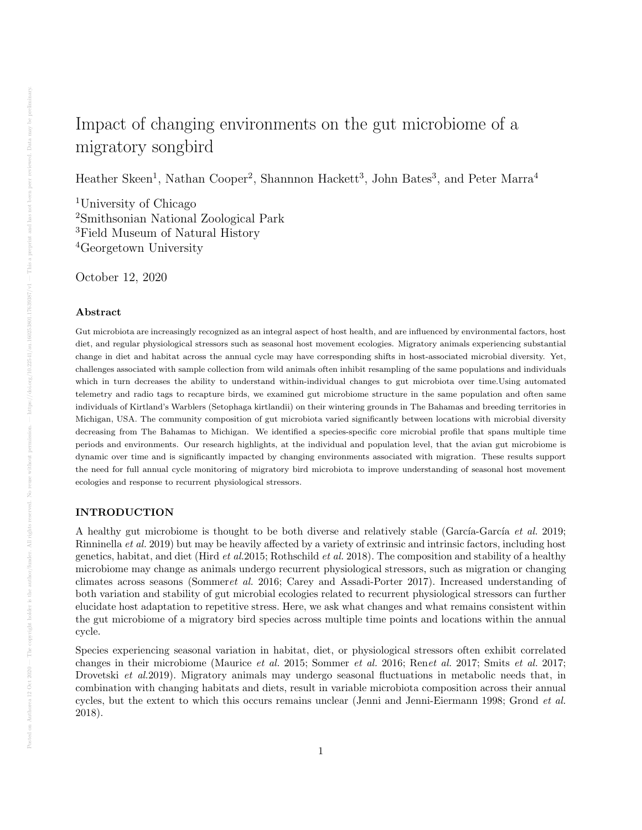# Impact of changing environments on the gut microbiome of a migratory songbird

Heather Skeen<sup>1</sup>, Nathan Cooper<sup>2</sup>, Shannnon Hackett<sup>3</sup>, John Bates<sup>3</sup>, and Peter Marra<sup>4</sup>

University of Chicago Smithsonian National Zoological Park Field Museum of Natural History Georgetown University

October 12, 2020

#### Abstract

Gut microbiota are increasingly recognized as an integral aspect of host health, and are influenced by environmental factors, host diet, and regular physiological stressors such as seasonal host movement ecologies. Migratory animals experiencing substantial change in diet and habitat across the annual cycle may have corresponding shifts in host-associated microbial diversity. Yet, challenges associated with sample collection from wild animals often inhibit resampling of the same populations and individuals which in turn decreases the ability to understand within-individual changes to gut microbiota over time.Using automated telemetry and radio tags to recapture birds, we examined gut microbiome structure in the same population and often same individuals of Kirtland's Warblers (Setophaga kirtlandii) on their wintering grounds in The Bahamas and breeding territories in Michigan, USA. The community composition of gut microbiota varied significantly between locations with microbial diversity decreasing from The Bahamas to Michigan. We identified a species-specific core microbial profile that spans multiple time periods and environments. Our research highlights, at the individual and population level, that the avian gut microbiome is dynamic over time and is significantly impacted by changing environments associated with migration. These results support the need for full annual cycle monitoring of migratory bird microbiota to improve understanding of seasonal host movement ecologies and response to recurrent physiological stressors.

## INTRODUCTION

A healthy gut microbiome is thought to be both diverse and relatively stable (García-García et al. 2019; Rinninella et al. 2019) but may be heavily affected by a variety of extrinsic and intrinsic factors, including host genetics, habitat, and diet (Hird et al.2015; Rothschild et al. 2018). The composition and stability of a healthy microbiome may change as animals undergo recurrent physiological stressors, such as migration or changing climates across seasons (Sommeret al. 2016; Carey and Assadi-Porter 2017). Increased understanding of both variation and stability of gut microbial ecologies related to recurrent physiological stressors can further elucidate host adaptation to repetitive stress. Here, we ask what changes and what remains consistent within the gut microbiome of a migratory bird species across multiple time points and locations within the annual cycle.

Species experiencing seasonal variation in habitat, diet, or physiological stressors often exhibit correlated changes in their microbiome (Maurice et al. 2015; Sommer et al. 2016; Renet al. 2017; Smits et al. 2017; Drovetski et al.2019). Migratory animals may undergo seasonal fluctuations in metabolic needs that, in combination with changing habitats and diets, result in variable microbiota composition across their annual cycles, but the extent to which this occurs remains unclear (Jenni and Jenni-Eiermann 1998; Grond et al. 2018).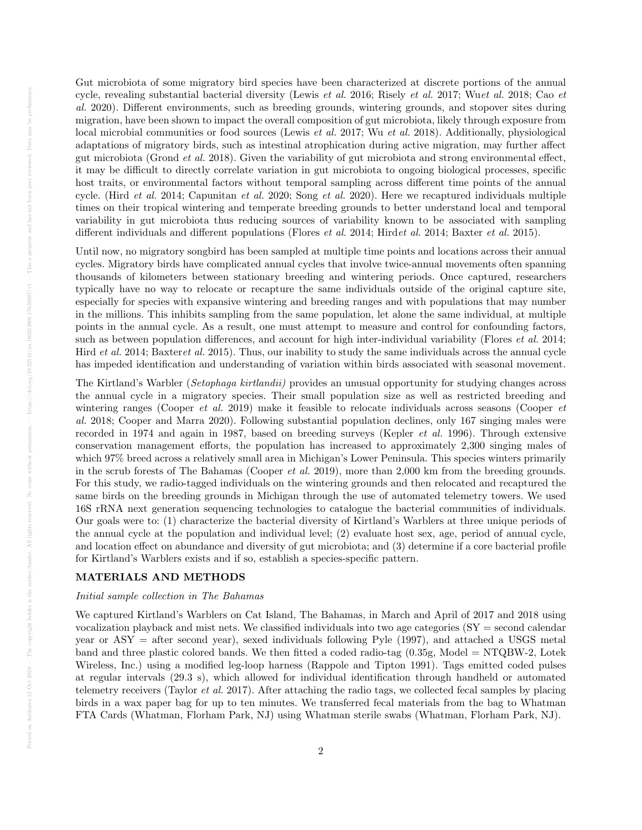Gut microbiota of some migratory bird species have been characterized at discrete portions of the annual cycle, revealing substantial bacterial diversity (Lewis et al. 2016; Risely et al. 2017; Wuet al. 2018; Cao et al. 2020). Different environments, such as breeding grounds, wintering grounds, and stopover sites during migration, have been shown to impact the overall composition of gut microbiota, likely through exposure from local microbial communities or food sources (Lewis *et al.* 2017; Wu *et al.* 2018). Additionally, physiological adaptations of migratory birds, such as intestinal atrophication during active migration, may further affect gut microbiota (Grond et al. 2018). Given the variability of gut microbiota and strong environmental effect, it may be difficult to directly correlate variation in gut microbiota to ongoing biological processes, specific host traits, or environmental factors without temporal sampling across different time points of the annual cycle. (Hird et al. 2014; Capunitan et al. 2020; Song et al. 2020). Here we recaptured individuals multiple times on their tropical wintering and temperate breeding grounds to better understand local and temporal variability in gut microbiota thus reducing sources of variability known to be associated with sampling different individuals and different populations (Flores *et al.* 2014; Hirdet al. 2014; Baxter *et al.* 2015).

Until now, no migratory songbird has been sampled at multiple time points and locations across their annual cycles. Migratory birds have complicated annual cycles that involve twice-annual movements often spanning thousands of kilometers between stationary breeding and wintering periods. Once captured, researchers typically have no way to relocate or recapture the same individuals outside of the original capture site, especially for species with expansive wintering and breeding ranges and with populations that may number in the millions. This inhibits sampling from the same population, let alone the same individual, at multiple points in the annual cycle. As a result, one must attempt to measure and control for confounding factors, such as between population differences, and account for high inter-individual variability (Flores *et al.* 2014; Hird et al. 2014; Baxteret al. 2015). Thus, our inability to study the same individuals across the annual cycle has impeded identification and understanding of variation within birds associated with seasonal movement.

The Kirtland's Warbler (Setophaga kirtlandii) provides an unusual opportunity for studying changes across the annual cycle in a migratory species. Their small population size as well as restricted breeding and wintering ranges (Cooper *et al.* 2019) make it feasible to relocate individuals across seasons (Cooper *et* al. 2018; Cooper and Marra 2020). Following substantial population declines, only 167 singing males were recorded in 1974 and again in 1987, based on breeding surveys (Kepler et al. 1996). Through extensive conservation management efforts, the population has increased to approximately 2,300 singing males of which 97% breed across a relatively small area in Michigan's Lower Peninsula. This species winters primarily in the scrub forests of The Bahamas (Cooper *et al.* 2019), more than 2,000 km from the breeding grounds. For this study, we radio-tagged individuals on the wintering grounds and then relocated and recaptured the same birds on the breeding grounds in Michigan through the use of automated telemetry towers. We used 16S rRNA next generation sequencing technologies to catalogue the bacterial communities of individuals. Our goals were to: (1) characterize the bacterial diversity of Kirtland's Warblers at three unique periods of the annual cycle at the population and individual level; (2) evaluate host sex, age, period of annual cycle, and location effect on abundance and diversity of gut microbiota; and (3) determine if a core bacterial profile for Kirtland's Warblers exists and if so, establish a species-specific pattern.

#### MATERIALS AND METHODS

#### Initial sample collection in The Bahamas

We captured Kirtland's Warblers on Cat Island, The Bahamas, in March and April of 2017 and 2018 using vocalization playback and mist nets. We classified individuals into two age categories  $(SY = second$  calendar year or ASY = after second year), sexed individuals following Pyle (1997), and attached a USGS metal band and three plastic colored bands. We then fitted a coded radio-tag  $(0.35g, \text{Model} = \text{NTQBW-2}, \text{Lotek})$ Wireless, Inc.) using a modified leg-loop harness (Rappole and Tipton 1991). Tags emitted coded pulses at regular intervals (29.3 s), which allowed for individual identification through handheld or automated telemetry receivers (Taylor et al. 2017). After attaching the radio tags, we collected fecal samples by placing birds in a wax paper bag for up to ten minutes. We transferred fecal materials from the bag to Whatman FTA Cards (Whatman, Florham Park, NJ) using Whatman sterile swabs (Whatman, Florham Park, NJ).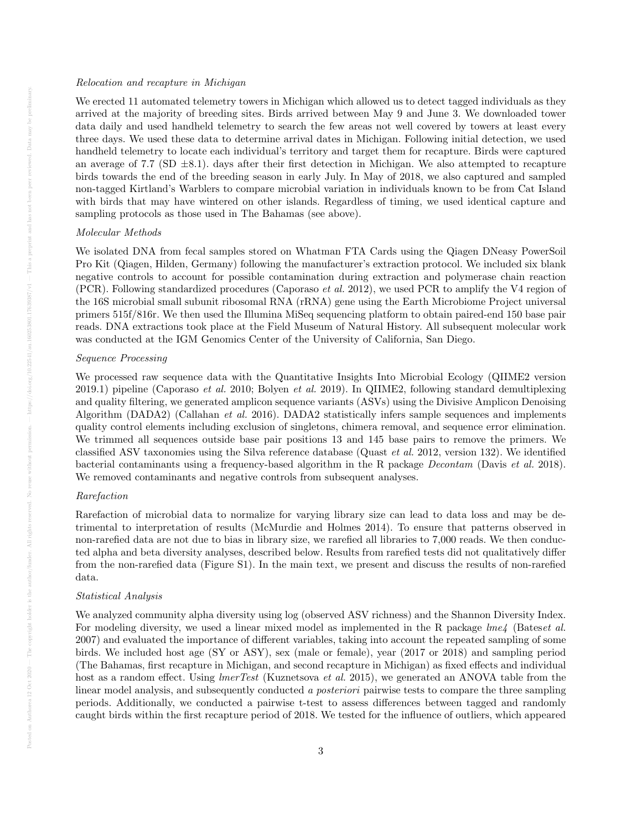#### Relocation and recapture in Michigan

We erected 11 automated telemetry towers in Michigan which allowed us to detect tagged individuals as they arrived at the majority of breeding sites. Birds arrived between May 9 and June 3. We downloaded tower data daily and used handheld telemetry to search the few areas not well covered by towers at least every three days. We used these data to determine arrival dates in Michigan. Following initial detection, we used handheld telemetry to locate each individual's territory and target them for recapture. Birds were captured an average of 7.7 (SD  $\pm$ 8.1). days after their first detection in Michigan. We also attempted to recapture birds towards the end of the breeding season in early July. In May of 2018, we also captured and sampled non-tagged Kirtland's Warblers to compare microbial variation in individuals known to be from Cat Island with birds that may have wintered on other islands. Regardless of timing, we used identical capture and sampling protocols as those used in The Bahamas (see above).

#### Molecular Methods

We isolated DNA from fecal samples stored on Whatman FTA Cards using the Qiagen DNeasy PowerSoil Pro Kit (Qiagen, Hilden, Germany) following the manufacturer's extraction protocol. We included six blank negative controls to account for possible contamination during extraction and polymerase chain reaction (PCR). Following standardized procedures (Caporaso et al. 2012), we used PCR to amplify the V4 region of the 16S microbial small subunit ribosomal RNA (rRNA) gene using the Earth Microbiome Project universal primers 515f/816r. We then used the Illumina MiSeq sequencing platform to obtain paired-end 150 base pair reads. DNA extractions took place at the Field Museum of Natural History. All subsequent molecular work was conducted at the IGM Genomics Center of the University of California, San Diego.

#### Sequence Processing

We processed raw sequence data with the Quantitative Insights Into Microbial Ecology (QIIME2 version 2019.1) pipeline (Caporaso *et al.* 2010; Bolyen *et al.* 2019). In QIIME2, following standard demultiplexing and quality filtering, we generated amplicon sequence variants (ASVs) using the Divisive Amplicon Denoising Algorithm (DADA2) (Callahan *et al.* 2016). DADA2 statistically infers sample sequences and implements quality control elements including exclusion of singletons, chimera removal, and sequence error elimination. We trimmed all sequences outside base pair positions 13 and 145 base pairs to remove the primers. We classified ASV taxonomies using the Silva reference database (Quast et al. 2012, version 132). We identified bacterial contaminants using a frequency-based algorithm in the R package Decontam (Davis et al. 2018). We removed contaminants and negative controls from subsequent analyses.

## Rarefaction

Rarefaction of microbial data to normalize for varying library size can lead to data loss and may be detrimental to interpretation of results (McMurdie and Holmes 2014). To ensure that patterns observed in non-rarefied data are not due to bias in library size, we rarefied all libraries to 7,000 reads. We then conducted alpha and beta diversity analyses, described below. Results from rarefied tests did not qualitatively differ from the non-rarefied data (Figure S1). In the main text, we present and discuss the results of non-rarefied data.

#### Statistical Analysis

We analyzed community alpha diversity using log (observed ASV richness) and the Shannon Diversity Index. For modeling diversity, we used a linear mixed model as implemented in the R package  $lme4$  (Bateset al. 2007) and evaluated the importance of different variables, taking into account the repeated sampling of some birds. We included host age (SY or ASY), sex (male or female), year (2017 or 2018) and sampling period (The Bahamas, first recapture in Michigan, and second recapture in Michigan) as fixed effects and individual host as a random effect. Using *lmerTest* (Kuznetsova *et al.* 2015), we generated an ANOVA table from the linear model analysis, and subsequently conducted a posteriori pairwise tests to compare the three sampling periods. Additionally, we conducted a pairwise t-test to assess differences between tagged and randomly caught birds within the first recapture period of 2018. We tested for the influence of outliers, which appeared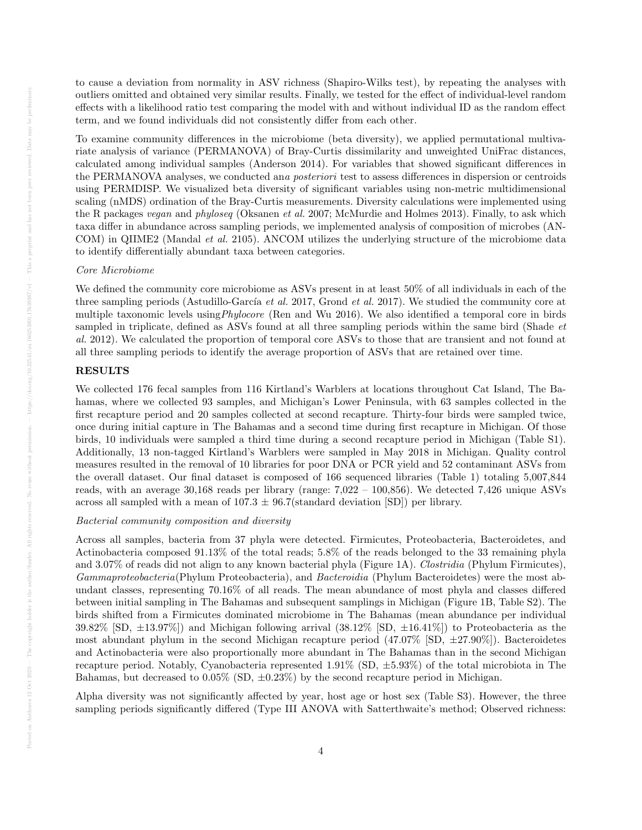to cause a deviation from normality in ASV richness (Shapiro-Wilks test), by repeating the analyses with outliers omitted and obtained very similar results. Finally, we tested for the effect of individual-level random effects with a likelihood ratio test comparing the model with and without individual ID as the random effect term, and we found individuals did not consistently differ from each other.

To examine community differences in the microbiome (beta diversity), we applied permutational multivariate analysis of variance (PERMANOVA) of Bray-Curtis dissimilarity and unweighted UniFrac distances, calculated among individual samples (Anderson 2014). For variables that showed significant differences in the PERMANOVA analyses, we conducted ana posteriori test to assess differences in dispersion or centroids using PERMDISP. We visualized beta diversity of significant variables using non-metric multidimensional scaling (nMDS) ordination of the Bray-Curtis measurements. Diversity calculations were implemented using the R packages vegan and phyloseq (Oksanen et al. 2007; McMurdie and Holmes 2013). Finally, to ask which taxa differ in abundance across sampling periods, we implemented analysis of composition of microbes (AN-COM) in QIIME2 (Mandal *et al.* 2105). ANCOM utilizes the underlying structure of the microbiome data to identify differentially abundant taxa between categories.

#### Core Microbiome

We defined the community core microbiome as ASVs present in at least 50% of all individuals in each of the three sampling periods (Astudillo-García *et al.* 2017, Grond *et al.* 2017). We studied the community core at multiple taxonomic levels usingPhylocore (Ren and Wu 2016). We also identified a temporal core in birds sampled in triplicate, defined as ASVs found at all three sampling periods within the same bird (Shade et al. 2012). We calculated the proportion of temporal core ASVs to those that are transient and not found at all three sampling periods to identify the average proportion of ASVs that are retained over time.

## RESULTS

We collected 176 fecal samples from 116 Kirtland's Warblers at locations throughout Cat Island, The Bahamas, where we collected 93 samples, and Michigan's Lower Peninsula, with 63 samples collected in the first recapture period and 20 samples collected at second recapture. Thirty-four birds were sampled twice, once during initial capture in The Bahamas and a second time during first recapture in Michigan. Of those birds, 10 individuals were sampled a third time during a second recapture period in Michigan (Table S1). Additionally, 13 non-tagged Kirtland's Warblers were sampled in May 2018 in Michigan. Quality control measures resulted in the removal of 10 libraries for poor DNA or PCR yield and 52 contaminant ASVs from the overall dataset. Our final dataset is composed of 166 sequenced libraries (Table 1) totaling 5,007,844 reads, with an average 30,168 reads per library (range: 7,022 – 100,856). We detected 7,426 unique ASVs across all sampled with a mean of  $107.3 \pm 96.7$  (standard deviation [SD]) per library.

## Bacterial community composition and diversity

Across all samples, bacteria from 37 phyla were detected. Firmicutes, Proteobacteria, Bacteroidetes, and Actinobacteria composed 91.13% of the total reads; 5.8% of the reads belonged to the 33 remaining phyla and 3.07% of reads did not align to any known bacterial phyla (Figure 1A). Clostridia (Phylum Firmicutes), Gammaproteobacteria(Phylum Proteobacteria), and Bacteroidia (Phylum Bacteroidetes) were the most abundant classes, representing 70.16% of all reads. The mean abundance of most phyla and classes differed between initial sampling in The Bahamas and subsequent samplings in Michigan (Figure 1B, Table S2). The birds shifted from a Firmicutes dominated microbiome in The Bahamas (mean abundance per individual 39.82% [SD,  $\pm$ 13.97%]) and Michigan following arrival (38.12% [SD,  $\pm$ 16.41%]) to Proteobacteria as the most abundant phylum in the second Michigan recapture period  $(47.07\%$  [SD,  $\pm 27.90\%$ ]). Bacteroidetes and Actinobacteria were also proportionally more abundant in The Bahamas than in the second Michigan recapture period. Notably, Cyanobacteria represented  $1.91\%$  (SD,  $\pm 5.93\%$ ) of the total microbiota in The Bahamas, but decreased to  $0.05\%$  (SD,  $\pm 0.23\%$ ) by the second recapture period in Michigan.

Alpha diversity was not significantly affected by year, host age or host sex (Table S3). However, the three sampling periods significantly differed (Type III ANOVA with Satterthwaite's method; Observed richness: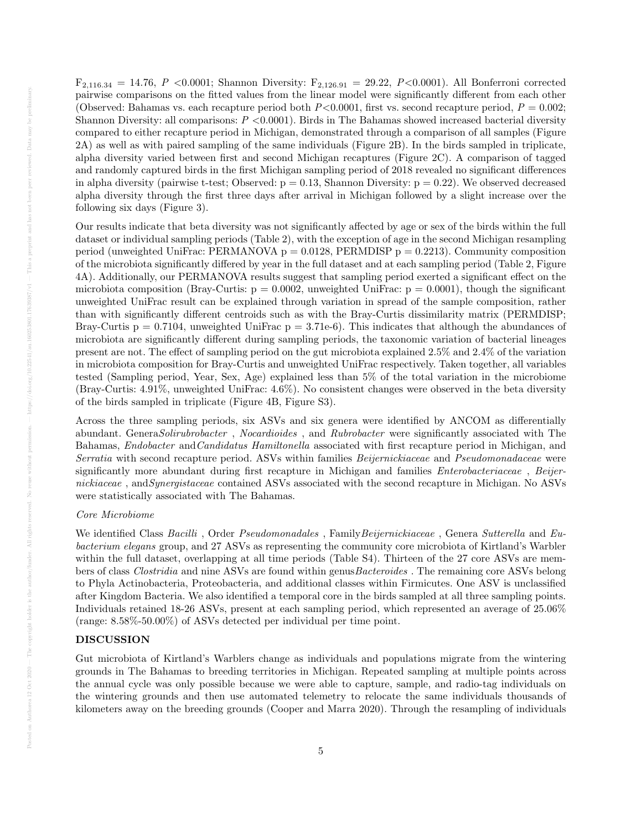$F_{2,116,34} = 14.76, P \le 0.0001$ ; Shannon Diversity:  $F_{2,126,91} = 29.22, P \le 0.0001$ ). All Bonferroni corrected pairwise comparisons on the fitted values from the linear model were significantly different from each other (Observed: Bahamas vs. each recapture period both  $P<0.0001$ , first vs. second recapture period,  $P = 0.002$ ; Shannon Diversity: all comparisons:  $P < 0.0001$ ). Birds in The Bahamas showed increased bacterial diversity compared to either recapture period in Michigan, demonstrated through a comparison of all samples (Figure 2A) as well as with paired sampling of the same individuals (Figure 2B). In the birds sampled in triplicate, alpha diversity varied between first and second Michigan recaptures (Figure 2C). A comparison of tagged and randomly captured birds in the first Michigan sampling period of 2018 revealed no significant differences in alpha diversity (pairwise t-test; Observed:  $p = 0.13$ , Shannon Diversity:  $p = 0.22$ ). We observed decreased alpha diversity through the first three days after arrival in Michigan followed by a slight increase over the following six days (Figure 3).

Our results indicate that beta diversity was not significantly affected by age or sex of the birds within the full dataset or individual sampling periods (Table 2), with the exception of age in the second Michigan resampling period (unweighted UniFrac: PERMANOVA  $p = 0.0128$ , PERMDISP  $p = 0.2213$ ). Community composition of the microbiota significantly differed by year in the full dataset and at each sampling period (Table 2, Figure 4A). Additionally, our PERMANOVA results suggest that sampling period exerted a significant effect on the microbiota composition (Bray-Curtis:  $p = 0.0002$ , unweighted UniFrac:  $p = 0.0001$ ), though the significant unweighted UniFrac result can be explained through variation in spread of the sample composition, rather than with significantly different centroids such as with the Bray-Curtis dissimilarity matrix (PERMDISP; Bray-Curtis  $p = 0.7104$ , unweighted UniFrac  $p = 3.71e-6$ ). This indicates that although the abundances of microbiota are significantly different during sampling periods, the taxonomic variation of bacterial lineages present are not. The effect of sampling period on the gut microbiota explained 2.5% and 2.4% of the variation in microbiota composition for Bray-Curtis and unweighted UniFrac respectively. Taken together, all variables tested (Sampling period, Year, Sex, Age) explained less than 5% of the total variation in the microbiome (Bray-Curtis: 4.91%, unweighted UniFrac: 4.6%). No consistent changes were observed in the beta diversity of the birds sampled in triplicate (Figure 4B, Figure S3).

Across the three sampling periods, six ASVs and six genera were identified by ANCOM as differentially abundant. GeneraSolirubrobacter , Nocardioides , and Rubrobacter were significantly associated with The Bahamas, Endobacter andCandidatus Hamiltonella associated with first recapture period in Michigan, and Serratia with second recapture period. ASVs within families Beijernickiaceae and Pseudomonadaceae were significantly more abundant during first recapture in Michigan and families *Enterobacteriaceae*, Beijernickiaceae, and Synergistaceae contained ASVs associated with the second recapture in Michigan. No ASVs were statistically associated with The Bahamas.

#### Core Microbiome

We identified Class Bacilli, Order Pseudomonadales, Family Beijernickiaceae, Genera Sutterella and Eubacterium elegans group, and 27 ASVs as representing the community core microbiota of Kirtland's Warbler within the full dataset, overlapping at all time periods (Table S4). Thirteen of the 27 core ASVs are members of class Clostridia and nine ASVs are found within genusBacteroides . The remaining core ASVs belong to Phyla Actinobacteria, Proteobacteria, and additional classes within Firmicutes. One ASV is unclassified after Kingdom Bacteria. We also identified a temporal core in the birds sampled at all three sampling points. Individuals retained 18-26 ASVs, present at each sampling period, which represented an average of 25.06% (range: 8.58%-50.00%) of ASVs detected per individual per time point.

## DISCUSSION

Gut microbiota of Kirtland's Warblers change as individuals and populations migrate from the wintering grounds in The Bahamas to breeding territories in Michigan. Repeated sampling at multiple points across the annual cycle was only possible because we were able to capture, sample, and radio-tag individuals on the wintering grounds and then use automated telemetry to relocate the same individuals thousands of kilometers away on the breeding grounds (Cooper and Marra 2020). Through the resampling of individuals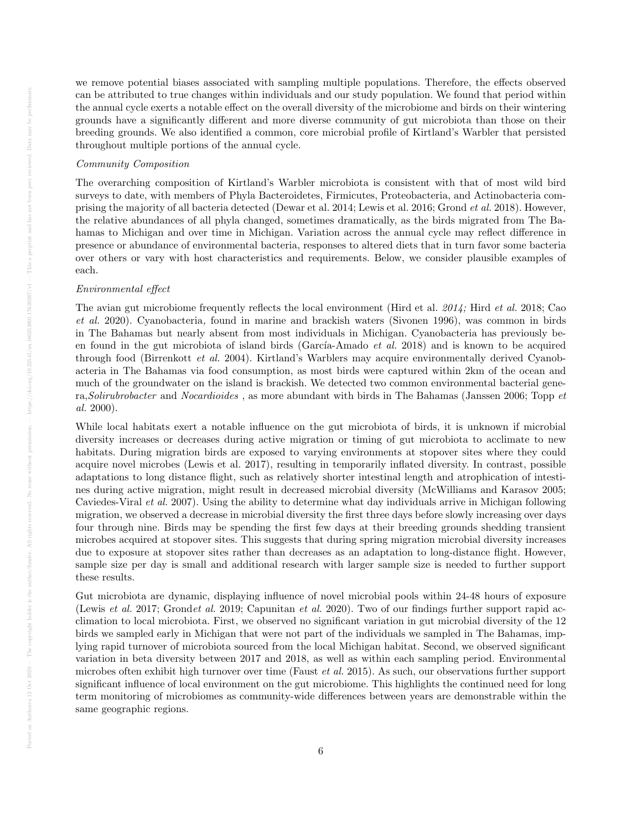we remove potential biases associated with sampling multiple populations. Therefore, the effects observed can be attributed to true changes within individuals and our study population. We found that period within the annual cycle exerts a notable effect on the overall diversity of the microbiome and birds on their wintering grounds have a significantly different and more diverse community of gut microbiota than those on their breeding grounds. We also identified a common, core microbial profile of Kirtland's Warbler that persisted throughout multiple portions of the annual cycle.

## Community Composition

The overarching composition of Kirtland's Warbler microbiota is consistent with that of most wild bird surveys to date, with members of Phyla Bacteroidetes, Firmicutes, Proteobacteria, and Actinobacteria comprising the majority of all bacteria detected (Dewar et al. 2014; Lewis et al. 2016; Grond et al. 2018). However, the relative abundances of all phyla changed, sometimes dramatically, as the birds migrated from The Bahamas to Michigan and over time in Michigan. Variation across the annual cycle may reflect difference in presence or abundance of environmental bacteria, responses to altered diets that in turn favor some bacteria over others or vary with host characteristics and requirements. Below, we consider plausible examples of each.

#### Environmental effect

The avian gut microbiome frequently reflects the local environment (Hird et al. 2014; Hird et al. 2018; Cao et al. 2020). Cyanobacteria, found in marine and brackish waters (Sivonen 1996), was common in birds in The Bahamas but nearly absent from most individuals in Michigan. Cyanobacteria has previously been found in the gut microbiota of island birds (García-Amado et al. 2018) and is known to be acquired through food (Birrenkott et al. 2004). Kirtland's Warblers may acquire environmentally derived Cyanobacteria in The Bahamas via food consumption, as most birds were captured within 2km of the ocean and much of the groundwater on the island is brackish. We detected two common environmental bacterial genera,Solirubrobacter and Nocardioides , as more abundant with birds in The Bahamas (Janssen 2006; Topp et al. 2000).

While local habitats exert a notable influence on the gut microbiota of birds, it is unknown if microbial diversity increases or decreases during active migration or timing of gut microbiota to acclimate to new habitats. During migration birds are exposed to varying environments at stopover sites where they could acquire novel microbes (Lewis et al. 2017), resulting in temporarily inflated diversity. In contrast, possible adaptations to long distance flight, such as relatively shorter intestinal length and atrophication of intestines during active migration, might result in decreased microbial diversity (McWilliams and Karasov 2005; Caviedes-Viral et al. 2007). Using the ability to determine what day individuals arrive in Michigan following migration, we observed a decrease in microbial diversity the first three days before slowly increasing over days four through nine. Birds may be spending the first few days at their breeding grounds shedding transient microbes acquired at stopover sites. This suggests that during spring migration microbial diversity increases due to exposure at stopover sites rather than decreases as an adaptation to long-distance flight. However, sample size per day is small and additional research with larger sample size is needed to further support these results.

Gut microbiota are dynamic, displaying influence of novel microbial pools within 24-48 hours of exposure (Lewis et al. 2017; Grondet al. 2019; Capunitan et al. 2020). Two of our findings further support rapid acclimation to local microbiota. First, we observed no significant variation in gut microbial diversity of the 12 birds we sampled early in Michigan that were not part of the individuals we sampled in The Bahamas, implying rapid turnover of microbiota sourced from the local Michigan habitat. Second, we observed significant variation in beta diversity between 2017 and 2018, as well as within each sampling period. Environmental microbes often exhibit high turnover over time (Faust et al. 2015). As such, our observations further support significant influence of local environment on the gut microbiome. This highlights the continued need for long term monitoring of microbiomes as community-wide differences between years are demonstrable within the same geographic regions.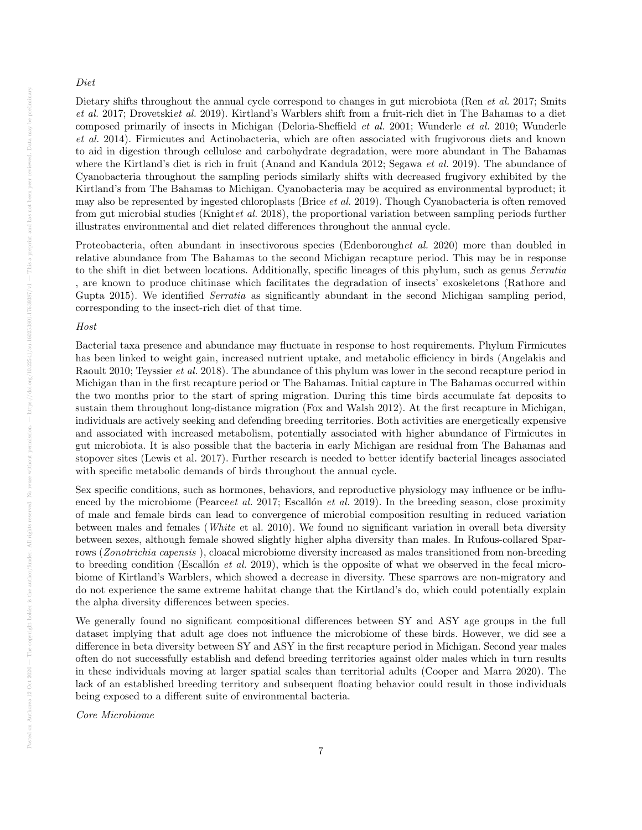#### Diet

Dietary shifts throughout the annual cycle correspond to changes in gut microbiota (Ren *et al.* 2017; Smits et al. 2017; Drovetskiet al. 2019). Kirtland's Warblers shift from a fruit-rich diet in The Bahamas to a diet composed primarily of insects in Michigan (Deloria-Sheffield et al. 2001; Wunderle et al. 2010; Wunderle et al. 2014). Firmicutes and Actinobacteria, which are often associated with frugivorous diets and known to aid in digestion through cellulose and carbohydrate degradation, were more abundant in The Bahamas where the Kirtland's diet is rich in fruit (Anand and Kandula 2012; Segawa *et al.* 2019). The abundance of Cyanobacteria throughout the sampling periods similarly shifts with decreased frugivory exhibited by the Kirtland's from The Bahamas to Michigan. Cyanobacteria may be acquired as environmental byproduct; it may also be represented by ingested chloroplasts (Brice et al. 2019). Though Cyanobacteria is often removed from gut microbial studies (Knightet al. 2018), the proportional variation between sampling periods further illustrates environmental and diet related differences throughout the annual cycle.

Proteobacteria, often abundant in insectivorous species (Edenboroughet al. 2020) more than doubled in relative abundance from The Bahamas to the second Michigan recapture period. This may be in response to the shift in diet between locations. Additionally, specific lineages of this phylum, such as genus Serratia , are known to produce chitinase which facilitates the degradation of insects' exoskeletons (Rathore and Gupta 2015). We identified *Serratia* as significantly abundant in the second Michigan sampling period, corresponding to the insect-rich diet of that time.

## Host

Bacterial taxa presence and abundance may fluctuate in response to host requirements. Phylum Firmicutes has been linked to weight gain, increased nutrient uptake, and metabolic efficiency in birds (Angelakis and Raoult 2010; Teyssier et al. 2018). The abundance of this phylum was lower in the second recapture period in Michigan than in the first recapture period or The Bahamas. Initial capture in The Bahamas occurred within the two months prior to the start of spring migration. During this time birds accumulate fat deposits to sustain them throughout long-distance migration (Fox and Walsh 2012). At the first recapture in Michigan, individuals are actively seeking and defending breeding territories. Both activities are energetically expensive and associated with increased metabolism, potentially associated with higher abundance of Firmicutes in gut microbiota. It is also possible that the bacteria in early Michigan are residual from The Bahamas and stopover sites (Lewis et al. 2017). Further research is needed to better identify bacterial lineages associated with specific metabolic demands of birds throughout the annual cycle.

Sex specific conditions, such as hormones, behaviors, and reproductive physiology may influence or be influenced by the microbiome (Pearceet al. 2017; Escallón et al. 2019). In the breeding season, close proximity of male and female birds can lead to convergence of microbial composition resulting in reduced variation between males and females (White et al. 2010). We found no significant variation in overall beta diversity between sexes, although female showed slightly higher alpha diversity than males. In Rufous-collared Sparrows (*Zonotrichia capensis*), cloacal microbiome diversity increased as males transitioned from non-breeding to breeding condition (Escallón *et al.* 2019), which is the opposite of what we observed in the fecal microbiome of Kirtland's Warblers, which showed a decrease in diversity. These sparrows are non-migratory and do not experience the same extreme habitat change that the Kirtland's do, which could potentially explain the alpha diversity differences between species.

We generally found no significant compositional differences between SY and ASY age groups in the full dataset implying that adult age does not influence the microbiome of these birds. However, we did see a difference in beta diversity between SY and ASY in the first recapture period in Michigan. Second year males often do not successfully establish and defend breeding territories against older males which in turn results in these individuals moving at larger spatial scales than territorial adults (Cooper and Marra 2020). The lack of an established breeding territory and subsequent floating behavior could result in those individuals being exposed to a different suite of environmental bacteria.

Core Microbiome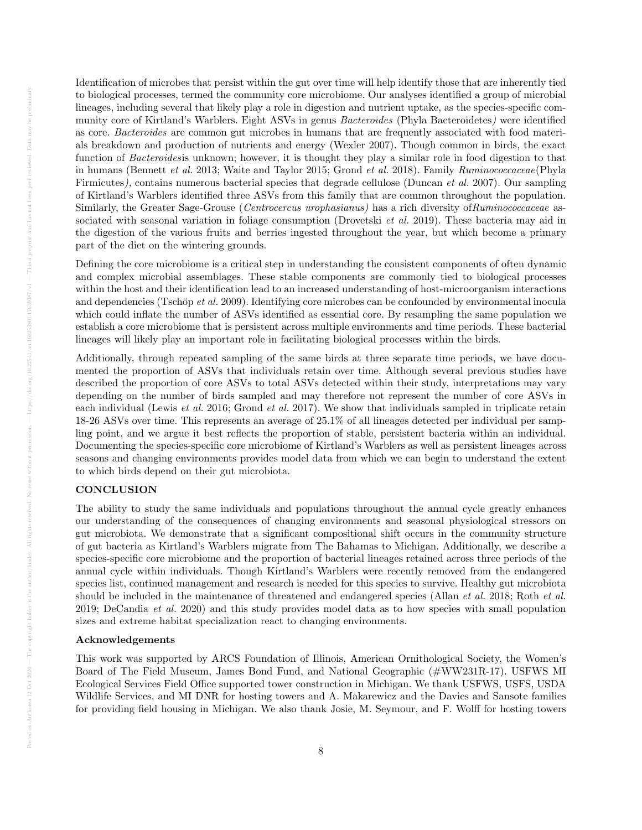Identification of microbes that persist within the gut over time will help identify those that are inherently tied to biological processes, termed the community core microbiome. Our analyses identified a group of microbial lineages, including several that likely play a role in digestion and nutrient uptake, as the species-specific community core of Kirtland's Warblers. Eight ASVs in genus Bacteroides (Phyla Bacteroidetes) were identified as core. Bacteroides are common gut microbes in humans that are frequently associated with food materials breakdown and production of nutrients and energy (Wexler 2007). Though common in birds, the exact function of Bacteroidesis unknown; however, it is thought they play a similar role in food digestion to that in humans (Bennett *et al.* 2013; Waite and Taylor 2015; Grond *et al.* 2018). Family *Ruminococcaceae*(Phyla Firmicutes), contains numerous bacterial species that degrade cellulose (Duncan et al. 2007). Our sampling of Kirtland's Warblers identified three ASVs from this family that are common throughout the population. Similarly, the Greater Sage-Grouse (*Centrocercus urophasianus*) has a rich diversity of Ruminococcaceae associated with seasonal variation in foliage consumption (Drovetski *et al.* 2019). These bacteria may aid in the digestion of the various fruits and berries ingested throughout the year, but which become a primary part of the diet on the wintering grounds.

Defining the core microbiome is a critical step in understanding the consistent components of often dynamic and complex microbial assemblages. These stable components are commonly tied to biological processes within the host and their identification lead to an increased understanding of host-microorganism interactions and dependencies (Tschöp et al. 2009). Identifying core microbes can be confounded by environmental inocula which could inflate the number of ASVs identified as essential core. By resampling the same population we establish a core microbiome that is persistent across multiple environments and time periods. These bacterial lineages will likely play an important role in facilitating biological processes within the birds.

Additionally, through repeated sampling of the same birds at three separate time periods, we have documented the proportion of ASVs that individuals retain over time. Although several previous studies have described the proportion of core ASVs to total ASVs detected within their study, interpretations may vary depending on the number of birds sampled and may therefore not represent the number of core ASVs in each individual (Lewis et al. 2016; Grond et al. 2017). We show that individuals sampled in triplicate retain 18-26 ASVs over time. This represents an average of 25.1% of all lineages detected per individual per sampling point, and we argue it best reflects the proportion of stable, persistent bacteria within an individual. Documenting the species-specific core microbiome of Kirtland's Warblers as well as persistent lineages across seasons and changing environments provides model data from which we can begin to understand the extent to which birds depend on their gut microbiota.

#### **CONCLUSION**

The ability to study the same individuals and populations throughout the annual cycle greatly enhances our understanding of the consequences of changing environments and seasonal physiological stressors on gut microbiota. We demonstrate that a significant compositional shift occurs in the community structure of gut bacteria as Kirtland's Warblers migrate from The Bahamas to Michigan. Additionally, we describe a species-specific core microbiome and the proportion of bacterial lineages retained across three periods of the annual cycle within individuals. Though Kirtland's Warblers were recently removed from the endangered species list, continued management and research is needed for this species to survive. Healthy gut microbiota should be included in the maintenance of threatened and endangered species (Allan *et al.* 2018; Roth *et al.* 2019; DeCandia et al. 2020) and this study provides model data as to how species with small population sizes and extreme habitat specialization react to changing environments.

#### Acknowledgements

This work was supported by ARCS Foundation of Illinois, American Ornithological Society, the Women's Board of The Field Museum, James Bond Fund, and National Geographic (#WW231R-17). USFWS MI Ecological Services Field Office supported tower construction in Michigan. We thank USFWS, USFS, USDA Wildlife Services, and MI DNR for hosting towers and A. Makarewicz and the Davies and Sansote families for providing field housing in Michigan. We also thank Josie, M. Seymour, and F. Wolff for hosting towers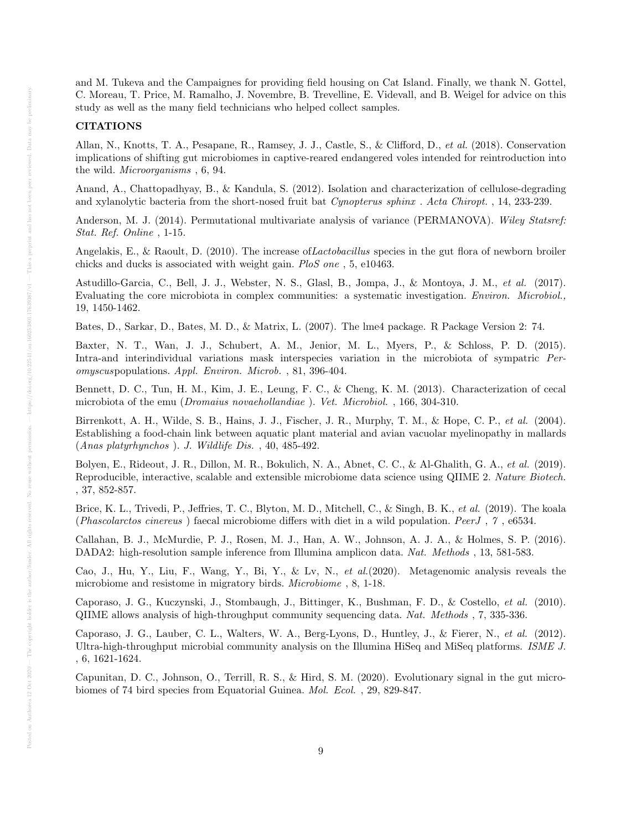and M. Tukeva and the Campaignes for providing field housing on Cat Island. Finally, we thank N. Gottel, C. Moreau, T. Price, M. Ramalho, J. Novembre, B. Trevelline, E. Videvall, and B. Weigel for advice on this study as well as the many field technicians who helped collect samples.

#### CITATIONS

Allan, N., Knotts, T. A., Pesapane, R., Ramsey, J. J., Castle, S., & Clifford, D., et al. (2018). Conservation implications of shifting gut microbiomes in captive-reared endangered voles intended for reintroduction into the wild. Microorganisms , 6, 94.

Anand, A., Chattopadhyay, B., & Kandula, S. (2012). Isolation and characterization of cellulose-degrading and xylanolytic bacteria from the short-nosed fruit bat Cynopterus sphinx . Acta Chiropt. , 14, 233-239.

Anderson, M. J. (2014). Permutational multivariate analysis of variance (PERMANOVA). Wiley Statsref: Stat. Ref. Online , 1-15.

Angelakis, E., & Raoult, D. (2010). The increase of *Lactobacillus* species in the gut flora of newborn broiler chicks and ducks is associated with weight gain. PloS one , 5, e10463.

Astudillo-Garcia, C., Bell, J. J., Webster, N. S., Glasl, B., Jompa, J., & Montoya, J. M., et al. (2017). Evaluating the core microbiota in complex communities: a systematic investigation. Environ. Microbiol., 19, 1450-1462.

Bates, D., Sarkar, D., Bates, M. D., & Matrix, L. (2007). The lme4 package. R Package Version 2: 74.

Baxter, N. T., Wan, J. J., Schubert, A. M., Jenior, M. L., Myers, P., & Schloss, P. D. (2015). Intra-and interindividual variations mask interspecies variation in the microbiota of sympatric Peromyscuspopulations. Appl. Environ. Microb. , 81, 396-404.

Bennett, D. C., Tun, H. M., Kim, J. E., Leung, F. C., & Cheng, K. M. (2013). Characterization of cecal microbiota of the emu (Dromaius novaehollandiae ). Vet. Microbiol. , 166, 304-310.

Birrenkott, A. H., Wilde, S. B., Hains, J. J., Fischer, J. R., Murphy, T. M., & Hope, C. P., et al. (2004). Establishing a food-chain link between aquatic plant material and avian vacuolar myelinopathy in mallards (Anas platyrhynchos ). J. Wildlife Dis. , 40, 485-492.

Bolyen, E., Rideout, J. R., Dillon, M. R., Bokulich, N. A., Abnet, C. C., & Al-Ghalith, G. A., et al. (2019). Reproducible, interactive, scalable and extensible microbiome data science using QIIME 2. Nature Biotech. , 37, 852-857.

Brice, K. L., Trivedi, P., Jeffries, T. C., Blyton, M. D., Mitchell, C., & Singh, B. K., et al. (2019). The koala (Phascolarctos cinereus ) faecal microbiome differs with diet in a wild population. PeerJ , 7 , e6534.

Callahan, B. J., McMurdie, P. J., Rosen, M. J., Han, A. W., Johnson, A. J. A., & Holmes, S. P. (2016). DADA2: high-resolution sample inference from Illumina amplicon data. Nat. Methods , 13, 581-583.

Cao, J., Hu, Y., Liu, F., Wang, Y., Bi, Y., & Lv, N., et al.(2020). Metagenomic analysis reveals the microbiome and resistome in migratory birds. Microbiome , 8, 1-18.

Caporaso, J. G., Kuczynski, J., Stombaugh, J., Bittinger, K., Bushman, F. D., & Costello, et al. (2010). QIIME allows analysis of high-throughput community sequencing data. Nat. Methods , 7, 335-336.

Caporaso, J. G., Lauber, C. L., Walters, W. A., Berg-Lyons, D., Huntley, J., & Fierer, N., et al. (2012). Ultra-high-throughput microbial community analysis on the Illumina HiSeq and MiSeq platforms. ISME J. , 6, 1621-1624.

Capunitan, D. C., Johnson, O., Terrill, R. S., & Hird, S. M. (2020). Evolutionary signal in the gut microbiomes of 74 bird species from Equatorial Guinea. Mol. Ecol. , 29, 829-847.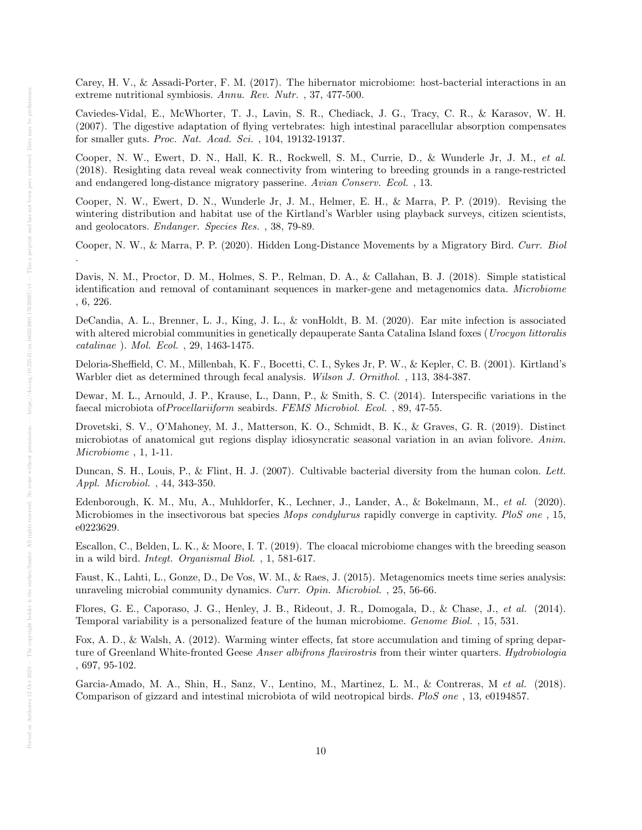Carey, H. V., & Assadi-Porter, F. M. (2017). The hibernator microbiome: host-bacterial interactions in an extreme nutritional symbiosis. Annu. Rev. Nutr. , 37, 477-500.

Caviedes-Vidal, E., McWhorter, T. J., Lavin, S. R., Chediack, J. G., Tracy, C. R., & Karasov, W. H. (2007). The digestive adaptation of flying vertebrates: high intestinal paracellular absorption compensates for smaller guts. Proc. Nat. Acad. Sci. , 104, 19132-19137.

Cooper, N. W., Ewert, D. N., Hall, K. R., Rockwell, S. M., Currie, D., & Wunderle Jr, J. M., et al. (2018). Resighting data reveal weak connectivity from wintering to breeding grounds in a range-restricted and endangered long-distance migratory passerine. Avian Conserv. Ecol. , 13.

Cooper, N. W., Ewert, D. N., Wunderle Jr, J. M., Helmer, E. H., & Marra, P. P. (2019). Revising the wintering distribution and habitat use of the Kirtland's Warbler using playback surveys, citizen scientists, and geolocators. Endanger. Species Res. , 38, 79-89.

Cooper, N. W., & Marra, P. P. (2020). Hidden Long-Distance Movements by a Migratory Bird. Curr. Biol .

Davis, N. M., Proctor, D. M., Holmes, S. P., Relman, D. A., & Callahan, B. J. (2018). Simple statistical identification and removal of contaminant sequences in marker-gene and metagenomics data. Microbiome , 6, 226.

DeCandia, A. L., Brenner, L. J., King, J. L., & vonHoldt, B. M. (2020). Ear mite infection is associated with altered microbial communities in genetically depauperate Santa Catalina Island foxes (Urocyon littoralis catalinae ). Mol. Ecol. , 29, 1463-1475.

Deloria-Sheffield, C. M., Millenbah, K. F., Bocetti, C. I., Sykes Jr, P. W., & Kepler, C. B. (2001). Kirtland's Warbler diet as determined through fecal analysis. Wilson J. Ornithol. , 113, 384-387.

Dewar, M. L., Arnould, J. P., Krause, L., Dann, P., & Smith, S. C. (2014). Interspecific variations in the faecal microbiota ofProcellariiform seabirds. FEMS Microbiol. Ecol. , 89, 47-55.

Drovetski, S. V., O'Mahoney, M. J., Matterson, K. O., Schmidt, B. K., & Graves, G. R. (2019). Distinct microbiotas of anatomical gut regions display idiosyncratic seasonal variation in an avian folivore. Anim. Microbiome , 1, 1-11.

Duncan, S. H., Louis, P., & Flint, H. J. (2007). Cultivable bacterial diversity from the human colon. Lett. Appl. Microbiol. , 44, 343-350.

Edenborough, K. M., Mu, A., Muhldorfer, K., Lechner, J., Lander, A., & Bokelmann, M., et al. (2020). Microbiomes in the insectivorous bat species Mops condylurus rapidly converge in captivity. PloS one , 15, e0223629.

Escallon, C., Belden, L. K., & Moore, I. T. (2019). The cloacal microbiome changes with the breeding season in a wild bird. Integt. Organismal Biol. , 1, 581-617.

Faust, K., Lahti, L., Gonze, D., De Vos, W. M., & Raes, J. (2015). Metagenomics meets time series analysis: unraveling microbial community dynamics. Curr. Opin. Microbiol. , 25, 56-66.

Flores, G. E., Caporaso, J. G., Henley, J. B., Rideout, J. R., Domogala, D., & Chase, J., et al. (2014). Temporal variability is a personalized feature of the human microbiome. Genome Biol. , 15, 531.

Fox, A. D., & Walsh, A. (2012). Warming winter effects, fat store accumulation and timing of spring departure of Greenland White-fronted Geese Anser albifrons flavirostris from their winter quarters. Hydrobiologia , 697, 95-102.

Garcia-Amado, M. A., Shin, H., Sanz, V., Lentino, M., Martinez, L. M., & Contreras, M et al. (2018). Comparison of gizzard and intestinal microbiota of wild neotropical birds. PloS one , 13, e0194857.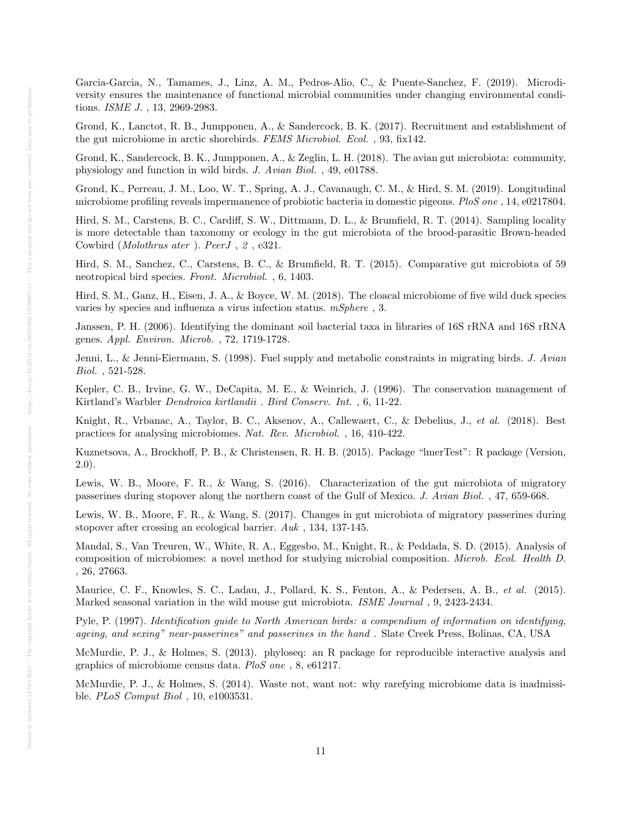Garcia-Garcia, N., Tamames, J., Linz, A. M., Pedros-Alio, C., & Puente-Sanchez, F. (2019). Microdiversity ensures the maintenance of functional microbial communities under changing environmental conditions. ISME J. , 13, 2969-2983.

Grond, K., Lanctot, R. B., Jumpponen, A., & Sandercock, B. K. (2017). Recruitment and establishment of the gut microbiome in arctic shorebirds. FEMS Microbiol. Ecol. , 93, fix142.

Grond, K., Sandercock, B. K., Jumpponen, A., & Zeglin, L. H. (2018). The avian gut microbiota: community, physiology and function in wild birds. J. Avian Biol. , 49, e01788.

Grond, K., Perreau, J. M., Loo, W. T., Spring, A. J., Cavanaugh, C. M., & Hird, S. M. (2019). Longitudinal microbiome profiling reveals impermanence of probiotic bacteria in domestic pigeons. PloS one , 14, e0217804.

Hird, S. M., Carstens, B. C., Cardiff, S. W., Dittmann, D. L., & Brumfield, R. T. (2014). Sampling locality is more detectable than taxonomy or ecology in the gut microbiota of the brood-parasitic Brown-headed Cowbird (Molothrus ater ). PeerJ , 2 , e321.

Hird, S. M., Sanchez, C., Carstens, B. C., & Brumfield, R. T. (2015). Comparative gut microbiota of 59 neotropical bird species. Front. Microbiol. , 6, 1403.

Hird, S. M., Ganz, H., Eisen, J. A., & Boyce, W. M. (2018). The cloacal microbiome of five wild duck species varies by species and influenza a virus infection status.  $mSphere$  , 3.

Janssen, P. H. (2006). Identifying the dominant soil bacterial taxa in libraries of 16S rRNA and 16S rRNA genes. Appl. Environ. Microb. , 72, 1719-1728.

Jenni, L., & Jenni-Eiermann, S. (1998). Fuel supply and metabolic constraints in migrating birds. J. Avian Biol. , 521-528.

Kepler, C. B., Irvine, G. W., DeCapita, M. E., & Weinrich, J. (1996). The conservation management of Kirtland's Warbler Dendroica kirtlandii . Bird Conserv. Int. , 6, 11-22.

Knight, R., Vrbanac, A., Taylor, B. C., Aksenov, A., Callewaert, C., & Debelius, J., et al. (2018). Best practices for analysing microbiomes. Nat. Rev. Microbiol. , 16, 410-422.

Kuznetsova, A., Brockhoff, P. B., & Christensen, R. H. B. (2015). Package "lmerTest": R package (Version, 2.0).

Lewis, W. B., Moore, F. R., & Wang, S. (2016). Characterization of the gut microbiota of migratory passerines during stopover along the northern coast of the Gulf of Mexico. J. Avian Biol. , 47, 659-668.

Lewis, W. B., Moore, F. R., & Wang, S. (2017). Changes in gut microbiota of migratory passerines during stopover after crossing an ecological barrier. Auk , 134, 137-145.

Mandal, S., Van Treuren, W., White, R. A., Eggesbo, M., Knight, R., & Peddada, S. D. (2015). Analysis of composition of microbiomes: a novel method for studying microbial composition. Microb. Ecol. Health D. , 26, 27663.

Maurice, C. F., Knowles, S. C., Ladau, J., Pollard, K. S., Fenton, A., & Pedersen, A. B., et al. (2015). Marked seasonal variation in the wild mouse gut microbiota. ISME Journal, 9, 2423-2434.

Pyle, P. (1997). Identification guide to North American birds: a compendium of information on identifying, ageing, and sexing" near-passerines" and passerines in the hand . Slate Creek Press, Bolinas, CA, USA

McMurdie, P. J., & Holmes, S. (2013). phyloseq: an R package for reproducible interactive analysis and graphics of microbiome census data. PloS one , 8, e61217.

McMurdie, P. J., & Holmes, S. (2014). Waste not, want not: why rarefying microbiome data is inadmissible. PLoS Comput Biol , 10, e1003531.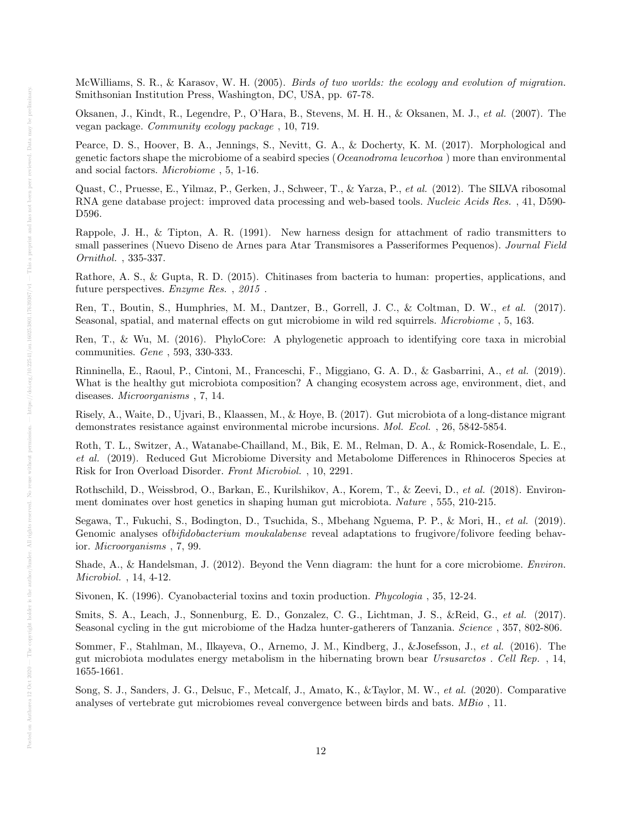McWilliams, S. R., & Karasov, W. H. (2005). Birds of two worlds: the ecology and evolution of migration. Smithsonian Institution Press, Washington, DC, USA, pp. 67-78.

Oksanen, J., Kindt, R., Legendre, P., O'Hara, B., Stevens, M. H. H., & Oksanen, M. J., et al. (2007). The vegan package. Community ecology package , 10, 719.

Pearce, D. S., Hoover, B. A., Jennings, S., Nevitt, G. A., & Docherty, K. M. (2017). Morphological and genetic factors shape the microbiome of a seabird species (Oceanodroma leucorhoa ) more than environmental and social factors. Microbiome , 5, 1-16.

Quast, C., Pruesse, E., Yilmaz, P., Gerken, J., Schweer, T., & Yarza, P., et al. (2012). The SILVA ribosomal RNA gene database project: improved data processing and web-based tools. Nucleic Acids Res., 41, D590-D596.

Rappole, J. H., & Tipton, A. R. (1991). New harness design for attachment of radio transmitters to small passerines (Nuevo Diseno de Arnes para Atar Transmisores a Passeriformes Pequenos). Journal Field Ornithol. , 335-337.

Rathore, A. S., & Gupta, R. D. (2015). Chitinases from bacteria to human: properties, applications, and future perspectives. Enzyme Res. , 2015 .

Ren, T., Boutin, S., Humphries, M. M., Dantzer, B., Gorrell, J. C., & Coltman, D. W., et al. (2017). Seasonal, spatial, and maternal effects on gut microbiome in wild red squirrels. Microbiome , 5, 163.

Ren, T., & Wu, M. (2016). PhyloCore: A phylogenetic approach to identifying core taxa in microbial communities. Gene , 593, 330-333.

Rinninella, E., Raoul, P., Cintoni, M., Franceschi, F., Miggiano, G. A. D., & Gasbarrini, A., et al. (2019). What is the healthy gut microbiota composition? A changing ecosystem across age, environment, diet, and diseases. Microorganisms , 7, 14.

Risely, A., Waite, D., Ujvari, B., Klaassen, M., & Hoye, B. (2017). Gut microbiota of a long-distance migrant demonstrates resistance against environmental microbe incursions. Mol. Ecol. , 26, 5842-5854.

Roth, T. L., Switzer, A., Watanabe-Chailland, M., Bik, E. M., Relman, D. A., & Romick-Rosendale, L. E., et al. (2019). Reduced Gut Microbiome Diversity and Metabolome Differences in Rhinoceros Species at Risk for Iron Overload Disorder. Front Microbiol. , 10, 2291.

Rothschild, D., Weissbrod, O., Barkan, E., Kurilshikov, A., Korem, T., & Zeevi, D., et al. (2018). Environment dominates over host genetics in shaping human gut microbiota. Nature , 555, 210-215.

Segawa, T., Fukuchi, S., Bodington, D., Tsuchida, S., Mbehang Nguema, P. P., & Mori, H., et al. (2019). Genomic analyses of *bifidobacterium moukalabense* reveal adaptations to frugivore/folivore feeding behavior. Microorganisms , 7, 99.

Shade, A., & Handelsman, J. (2012). Beyond the Venn diagram: the hunt for a core microbiome. Environ. Microbiol. , 14, 4-12.

Sivonen, K. (1996). Cyanobacterial toxins and toxin production. Phycologia , 35, 12-24.

Smits, S. A., Leach, J., Sonnenburg, E. D., Gonzalez, C. G., Lichtman, J. S., &Reid, G., et al. (2017). Seasonal cycling in the gut microbiome of the Hadza hunter-gatherers of Tanzania. Science , 357, 802-806.

Sommer, F., Stahlman, M., Ilkayeva, O., Arnemo, J. M., Kindberg, J., &Josefsson, J., et al. (2016). The gut microbiota modulates energy metabolism in the hibernating brown bear Ursusarctos . Cell Rep. , 14, 1655-1661.

Song, S. J., Sanders, J. G., Delsuc, F., Metcalf, J., Amato, K., &Taylor, M. W., et al. (2020). Comparative analyses of vertebrate gut microbiomes reveal convergence between birds and bats. MBio , 11.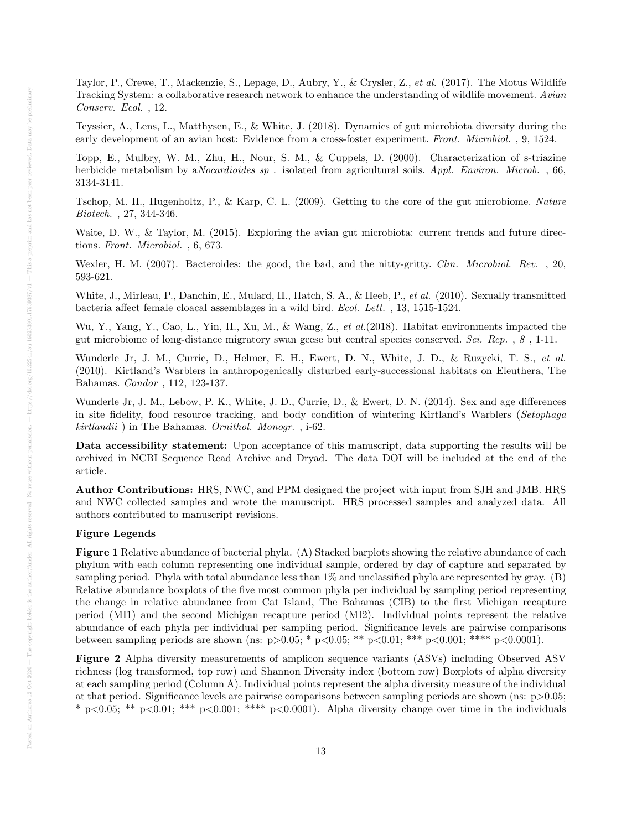Taylor, P., Crewe, T., Mackenzie, S., Lepage, D., Aubry, Y., & Crysler, Z., et al. (2017). The Motus Wildlife Tracking System: a collaborative research network to enhance the understanding of wildlife movement. Avian Conserv. Ecol. , 12.

Teyssier, A., Lens, L., Matthysen, E., & White, J. (2018). Dynamics of gut microbiota diversity during the early development of an avian host: Evidence from a cross-foster experiment. Front. Microbiol. , 9, 1524.

Topp, E., Mulbry, W. M., Zhu, H., Nour, S. M., & Cuppels, D. (2000). Characterization of s-triazine herbicide metabolism by a*Nocardioides sp*. isolated from agricultural soils. Appl. Environ. Microb. , 66, 3134-3141.

Tschop, M. H., Hugenholtz, P., & Karp, C. L. (2009). Getting to the core of the gut microbiome. Nature Biotech. , 27, 344-346.

Waite, D. W., & Taylor, M. (2015). Exploring the avian gut microbiota: current trends and future directions. Front. Microbiol. , 6, 673.

Wexler, H. M. (2007). Bacteroides: the good, the bad, and the nitty-gritty. Clin. Microbiol. Rev., 20, 593-621.

White, J., Mirleau, P., Danchin, E., Mulard, H., Hatch, S. A., & Heeb, P., et al. (2010). Sexually transmitted bacteria affect female cloacal assemblages in a wild bird. Ecol. Lett. , 13, 1515-1524.

Wu, Y., Yang, Y., Cao, L., Yin, H., Xu, M., & Wang, Z., et al. (2018). Habitat environments impacted the gut microbiome of long-distance migratory swan geese but central species conserved. Sci. Rep. , 8 , 1-11.

Wunderle Jr, J. M., Currie, D., Helmer, E. H., Ewert, D. N., White, J. D., & Ruzycki, T. S., et al. (2010). Kirtland's Warblers in anthropogenically disturbed early-successional habitats on Eleuthera, The Bahamas. Condor , 112, 123-137.

Wunderle Jr, J. M., Lebow, P. K., White, J. D., Currie, D., & Ewert, D. N. (2014). Sex and age differences in site fidelity, food resource tracking, and body condition of wintering Kirtland's Warblers (Setophaga kirtlandii ) in The Bahamas. Ornithol. Monogr. , i-62.

Data accessibility statement: Upon acceptance of this manuscript, data supporting the results will be archived in NCBI Sequence Read Archive and Dryad. The data DOI will be included at the end of the article.

Author Contributions: HRS, NWC, and PPM designed the project with input from SJH and JMB. HRS and NWC collected samples and wrote the manuscript. HRS processed samples and analyzed data. All authors contributed to manuscript revisions.

#### Figure Legends

Figure 1 Relative abundance of bacterial phyla. (A) Stacked barplots showing the relative abundance of each phylum with each column representing one individual sample, ordered by day of capture and separated by sampling period. Phyla with total abundance less than 1% and unclassified phyla are represented by gray. (B) Relative abundance boxplots of the five most common phyla per individual by sampling period representing the change in relative abundance from Cat Island, The Bahamas (CIB) to the first Michigan recapture period (MI1) and the second Michigan recapture period (MI2). Individual points represent the relative abundance of each phyla per individual per sampling period. Significance levels are pairwise comparisons between sampling periods are shown (ns: p>0.05; \* p<0.05; \*\* p<0.01; \*\*\* p<0.001; \*\*\*\* p<0.0001).

Figure 2 Alpha diversity measurements of amplicon sequence variants (ASVs) including Observed ASV richness (log transformed, top row) and Shannon Diversity index (bottom row) Boxplots of alpha diversity at each sampling period (Column A). Individual points represent the alpha diversity measure of the individual at that period. Significance levels are pairwise comparisons between sampling periods are shown (ns:  $p > 0.05$ ; \* p<0.05; \*\* p<0.01; \*\*\* p<0.001; \*\*\*\* p<0.0001). Alpha diversity change over time in the individuals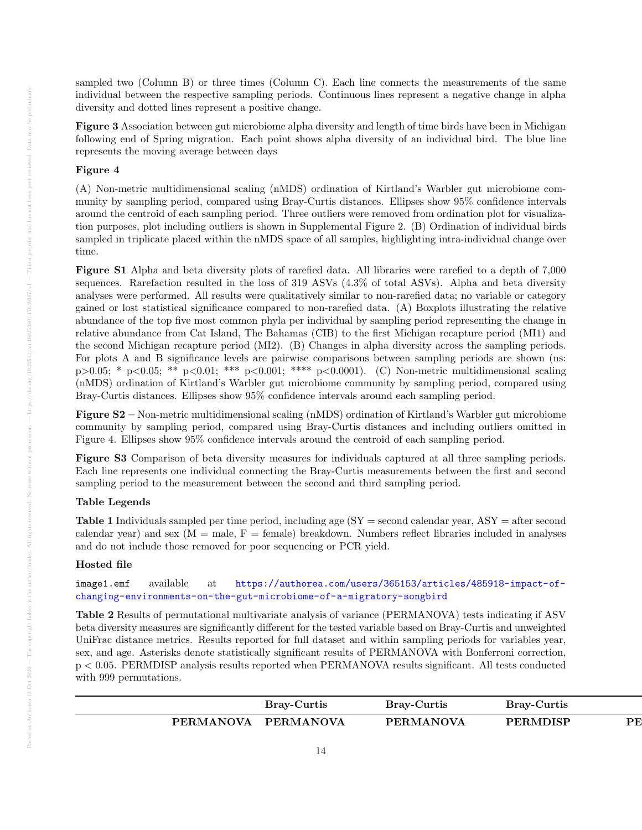sampled two (Column B) or three times (Column C). Each line connects the measurements of the same individual between the respective sampling periods. Continuous lines represent a negative change in alpha diversity and dotted lines represent a positive change.

Figure 3 Association between gut microbiome alpha diversity and length of time birds have been in Michigan following end of Spring migration. Each point shows alpha diversity of an individual bird. The blue line represents the moving average between days

## Figure 4

(A) Non-metric multidimensional scaling (nMDS) ordination of Kirtland's Warbler gut microbiome community by sampling period, compared using Bray-Curtis distances. Ellipses show 95% confidence intervals around the centroid of each sampling period. Three outliers were removed from ordination plot for visualization purposes, plot including outliers is shown in Supplemental Figure 2. (B) Ordination of individual birds sampled in triplicate placed within the nMDS space of all samples, highlighting intra-individual change over time.

Figure S1 Alpha and beta diversity plots of rarefied data. All libraries were rarefied to a depth of 7,000 sequences. Rarefaction resulted in the loss of 319 ASVs (4.3% of total ASVs). Alpha and beta diversity analyses were performed. All results were qualitatively similar to non-rarefied data; no variable or category gained or lost statistical significance compared to non-rarefied data. (A) Boxplots illustrating the relative abundance of the top five most common phyla per individual by sampling period representing the change in relative abundance from Cat Island, The Bahamas (CIB) to the first Michigan recapture period (MI1) and the second Michigan recapture period (MI2). (B) Changes in alpha diversity across the sampling periods. For plots A and B significance levels are pairwise comparisons between sampling periods are shown (ns: p>0.05; \* p<0.05; \*\* p<0.01; \*\*\* p<0.001; \*\*\*\* p<0.0001). (C) Non-metric multidimensional scaling (nMDS) ordination of Kirtland's Warbler gut microbiome community by sampling period, compared using Bray-Curtis distances. Ellipses show 95% confidence intervals around each sampling period.

Figure S2 – Non-metric multidimensional scaling (nMDS) ordination of Kirtland's Warbler gut microbiome community by sampling period, compared using Bray-Curtis distances and including outliers omitted in Figure 4. Ellipses show 95% confidence intervals around the centroid of each sampling period.

Figure S3 Comparison of beta diversity measures for individuals captured at all three sampling periods. Each line represents one individual connecting the Bray-Curtis measurements between the first and second sampling period to the measurement between the second and third sampling period.

#### Table Legends

**Table 1** Individuals sampled per time period, including age  $SY =$  second calendar year,  $ASY =$  after second calendar year) and sex  $(M = male, F = female)$  breakdown. Numbers reflect libraries included in analyses and do not include those removed for poor sequencing or PCR yield.

#### Hosted file

image1.emf available at [https://authorea.com/users/365153/articles/485918-impact-of](https://authorea.com/users/365153/articles/485918-impact-of-changing-environments-on-the-gut-microbiome-of-a-migratory-songbird)[changing-environments-on-the-gut-microbiome-of-a-migratory-songbird](https://authorea.com/users/365153/articles/485918-impact-of-changing-environments-on-the-gut-microbiome-of-a-migratory-songbird)

Table 2 Results of permutational multivariate analysis of variance (PERMANOVA) tests indicating if ASV beta diversity measures are significantly different for the tested variable based on Bray-Curtis and unweighted UniFrac distance metrics. Results reported for full dataset and within sampling periods for variables year, sex, and age. Asterisks denote statistically significant results of PERMANOVA with Bonferroni correction, p < 0.05. PERMDISP analysis results reported when PERMANOVA results significant. All tests conducted with 999 permutations.

|                  | Bray-Curtis      | <b>Bray-Curtis</b> | <b>Bray-Curtis</b> |    |
|------------------|------------------|--------------------|--------------------|----|
| <b>PERMANOVA</b> | <b>PERMANOVA</b> | <b>PERMANOVA</b>   | <b>PERMDISP</b>    | РE |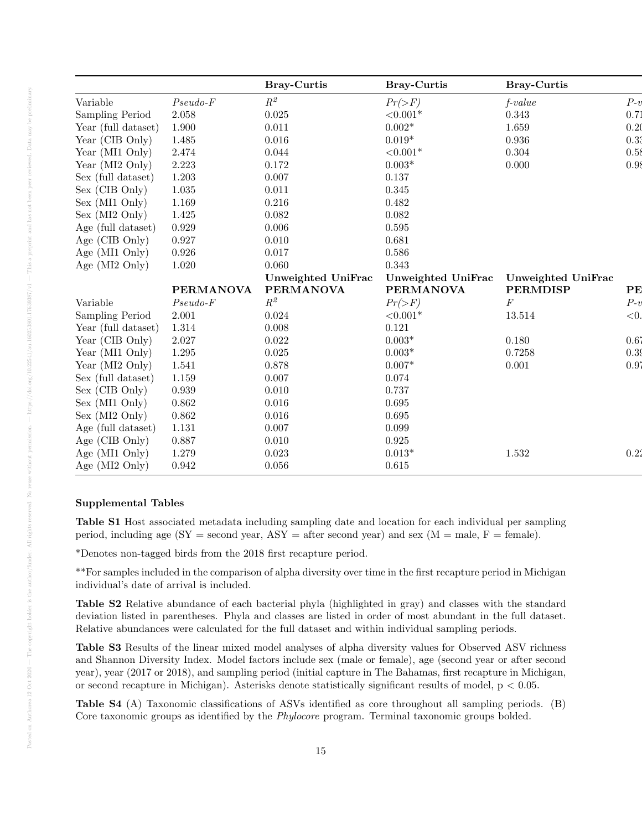|                     |                  | <b>Bray-Curtis</b> | <b>Bray-Curtis</b> | <b>Bray-Curtis</b> |       |
|---------------------|------------------|--------------------|--------------------|--------------------|-------|
| Variable            | $Pseudo-F$       | $\mathbb{R}^2$     | $Pr(\gt F)$        | $f-value$          | $P-v$ |
| Sampling Period     | 2.058            | 0.025              | ${<}0.001*$        | 0.343              | 0.71  |
| Year (full dataset) | 1.900            | 0.011              | $0.002*$           | 1.659              | 0.20  |
| Year (CIB Only)     | 1.485            | 0.016              | $0.019*$           | 0.936              | 0.33  |
| Year (MI1 Only)     | 2.474            | 0.044              | ${<}0.001*$        | 0.304              | 0.58  |
| Year (MI2 Only)     | 2.223            | $0.172\,$          | $0.003*$           | 0.000              | 0.98  |
| Sex (full dataset)  | 1.203            | 0.007              | 0.137              |                    |       |
| Sex (CIB Only)      | 1.035            | 0.011              | 0.345              |                    |       |
| Sex (MI1 Only)      | 1.169            | $0.216\,$          | 0.482              |                    |       |
| Sex (MI2 Only)      | 1.425            | 0.082              | 0.082              |                    |       |
| Age (full dataset)  | 0.929            | 0.006              | $\,0.595\,$        |                    |       |
| Age (CIB Only)      | 0.927            | 0.010              | 0.681              |                    |       |
| Age (MI1 Only)      | 0.926            | 0.017              | 0.586              |                    |       |
| Age (MI2 Only)      | 1.020            | 0.060              | 0.343              |                    |       |
|                     |                  | Unweighted UniFrac | Unweighted UniFrac | Unweighted UniFrac |       |
|                     | <b>PERMANOVA</b> | <b>PERMANOVA</b>   | <b>PERMANOVA</b>   | <b>PERMDISP</b>    | PE    |
| Variable            | $Pseudo-F$       | $R^2$              | $Pr(\gt F)$        | F                  | $P-v$ |
| Sampling Period     | 2.001            | 0.024              | ${<}0.001*$        | 13.514             | < 0.  |
| Year (full dataset) | 1.314            | 0.008              | 0.121              |                    |       |
| Year (CIB Only)     | 2.027            | 0.022              | $0.003*$           | 0.180              | 0.67  |
| Year (MI1 Only)     | 1.295            | 0.025              | $0.003*$           | 0.7258             | 0.39  |
| Year (MI2 Only)     | 1.541            | 0.878              | $0.007*$           | 0.001              | 0.97  |
| Sex (full dataset)  | 1.159            | 0.007              | 0.074              |                    |       |
| Sex (CIB Only)      | 0.939            | 0.010              | 0.737              |                    |       |
| Sex (MI1 Only)      | 0.862            | 0.016              | 0.695              |                    |       |
| Sex (MI2 Only)      | 0.862            | 0.016              | 0.695              |                    |       |
| Age (full dataset)  | 1.131            | 0.007              | 0.099              |                    |       |
| Age (CIB Only)      | 0.887            | 0.010              | $\,0.925\,$        |                    |       |
| Age (MI1 Only)      | 1.279            | 0.023              | $0.013*$           | 1.532              | 0.22  |
| Age (MI2 Only)      | 0.942            | $0.056\,$          | 0.615              |                    |       |

## Supplemental Tables

Table S1 Host associated metadata including sampling date and location for each individual per sampling period, including age  $(SY = second year, ASY = after second year)$  and sex  $(M = male, F = female)$ .

\*Denotes non-tagged birds from the 2018 first recapture period.

\*\*For samples included in the comparison of alpha diversity over time in the first recapture period in Michigan individual's date of arrival is included.

Table S2 Relative abundance of each bacterial phyla (highlighted in gray) and classes with the standard deviation listed in parentheses. Phyla and classes are listed in order of most abundant in the full dataset. Relative abundances were calculated for the full dataset and within individual sampling periods.

Table S3 Results of the linear mixed model analyses of alpha diversity values for Observed ASV richness and Shannon Diversity Index. Model factors include sex (male or female), age (second year or after second year), year (2017 or 2018), and sampling period (initial capture in The Bahamas, first recapture in Michigan, or second recapture in Michigan). Asterisks denote statistically significant results of model,  $p < 0.05$ .

Table S4 (A) Taxonomic classifications of ASVs identified as core throughout all sampling periods. (B) Core taxonomic groups as identified by the *Phylocore* program. Terminal taxonomic groups bolded.